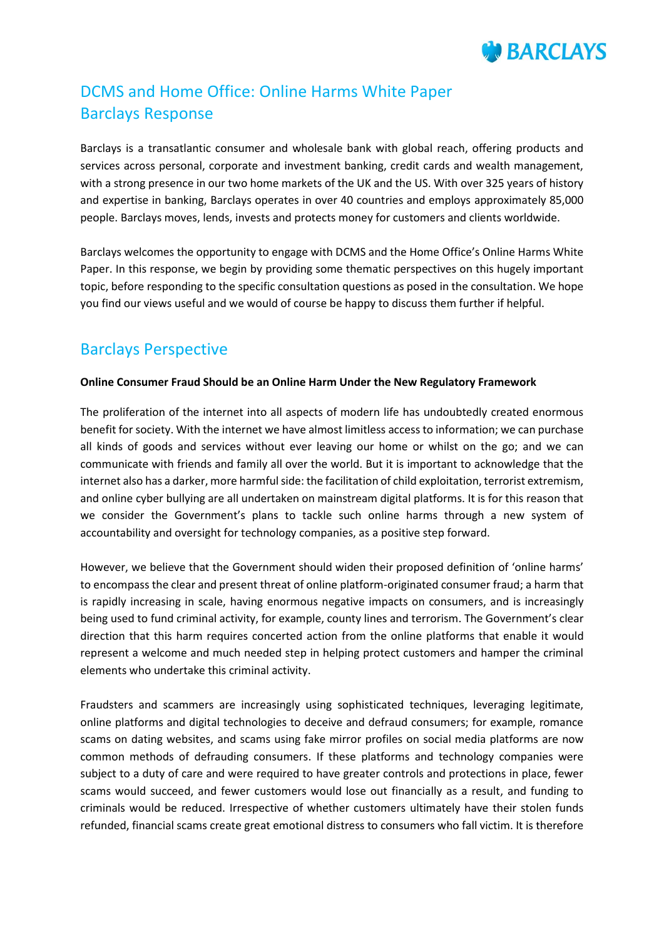

# DCMS and Home Office: Online Harms White Paper Barclays Response

Barclays is a transatlantic consumer and wholesale bank with global reach, offering products and services across personal, corporate and investment banking, credit cards and wealth management, with a strong presence in our two home markets of the UK and the US. With over 325 years of history and expertise in banking, Barclays operates in over 40 countries and employs approximately 85,000 people. Barclays moves, lends, invests and protects money for customers and clients worldwide.

Barclays welcomes the opportunity to engage with DCMS and the Home Office's Online Harms White Paper. In this response, we begin by providing some thematic perspectives on this hugely important topic, before responding to the specific consultation questions as posed in the consultation. We hope you find our views useful and we would of course be happy to discuss them further if helpful.

# Barclays Perspective

#### **Online Consumer Fraud Should be an Online Harm Under the New Regulatory Framework**

The proliferation of the internet into all aspects of modern life has undoubtedly created enormous benefit for society. With the internet we have almost limitless access to information; we can purchase all kinds of goods and services without ever leaving our home or whilst on the go; and we can communicate with friends and family all over the world. But it is important to acknowledge that the internet also has a darker, more harmful side: the facilitation of child exploitation, terrorist extremism, and online cyber bullying are all undertaken on mainstream digital platforms. It is for this reason that we consider the Government's plans to tackle such online harms through a new system of accountability and oversight for technology companies, as a positive step forward.

However, we believe that the Government should widen their proposed definition of 'online harms' to encompass the clear and present threat of online platform-originated consumer fraud; a harm that is rapidly increasing in scale, having enormous negative impacts on consumers, and is increasingly being used to fund criminal activity, for example, county lines and terrorism. The Government's clear direction that this harm requires concerted action from the online platforms that enable it would represent a welcome and much needed step in helping protect customers and hamper the criminal elements who undertake this criminal activity.

Fraudsters and scammers are increasingly using sophisticated techniques, leveraging legitimate, online platforms and digital technologies to deceive and defraud consumers; for example, romance scams on dating websites, and scams using fake mirror profiles on social media platforms are now common methods of defrauding consumers. If these platforms and technology companies were subject to a duty of care and were required to have greater controls and protections in place, fewer scams would succeed, and fewer customers would lose out financially as a result, and funding to criminals would be reduced. Irrespective of whether customers ultimately have their stolen funds refunded, financial scams create great emotional distress to consumers who fall victim. It is therefore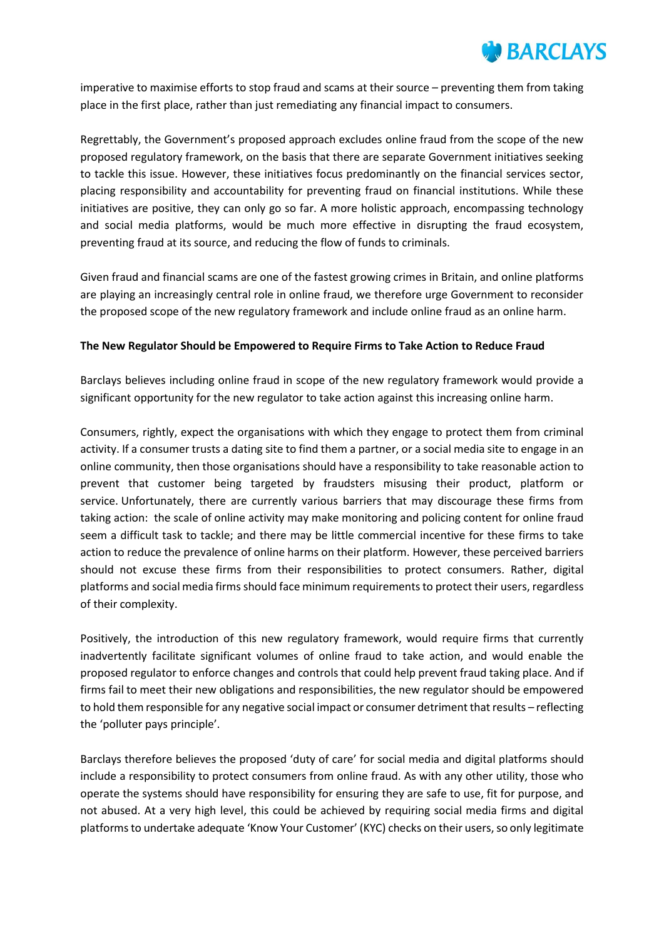

imperative to maximise efforts to stop fraud and scams at their source – preventing them from taking place in the first place, rather than just remediating any financial impact to consumers.

Regrettably, the Government's proposed approach excludes online fraud from the scope of the new proposed regulatory framework, on the basis that there are separate Government initiatives seeking to tackle this issue. However, these initiatives focus predominantly on the financial services sector, placing responsibility and accountability for preventing fraud on financial institutions. While these initiatives are positive, they can only go so far. A more holistic approach, encompassing technology and social media platforms, would be much more effective in disrupting the fraud ecosystem, preventing fraud at its source, and reducing the flow of funds to criminals.

Given fraud and financial scams are one of the fastest growing crimes in Britain, and online platforms are playing an increasingly central role in online fraud, we therefore urge Government to reconsider the proposed scope of the new regulatory framework and include online fraud as an online harm.

#### **The New Regulator Should be Empowered to Require Firms to Take Action to Reduce Fraud**

Barclays believes including online fraud in scope of the new regulatory framework would provide a significant opportunity for the new regulator to take action against this increasing online harm.

Consumers, rightly, expect the organisations with which they engage to protect them from criminal activity. If a consumer trusts a dating site to find them a partner, or a social media site to engage in an online community, then those organisations should have a responsibility to take reasonable action to prevent that customer being targeted by fraudsters misusing their product, platform or service. Unfortunately, there are currently various barriers that may discourage these firms from taking action: the scale of online activity may make monitoring and policing content for online fraud seem a difficult task to tackle; and there may be little commercial incentive for these firms to take action to reduce the prevalence of online harms on their platform. However, these perceived barriers should not excuse these firms from their responsibilities to protect consumers. Rather, digital platforms and social media firms should face minimum requirements to protect their users, regardless of their complexity.

Positively, the introduction of this new regulatory framework, would require firms that currently inadvertently facilitate significant volumes of online fraud to take action, and would enable the proposed regulator to enforce changes and controls that could help prevent fraud taking place. And if firms fail to meet their new obligations and responsibilities, the new regulator should be empowered to hold them responsible for any negative social impact or consumer detriment that results – reflecting the 'polluter pays principle'.

Barclays therefore believes the proposed 'duty of care' for social media and digital platforms should include a responsibility to protect consumers from online fraud. As with any other utility, those who operate the systems should have responsibility for ensuring they are safe to use, fit for purpose, and not abused. At a very high level, this could be achieved by requiring social media firms and digital platforms to undertake adequate 'Know Your Customer' (KYC) checks on their users, so only legitimate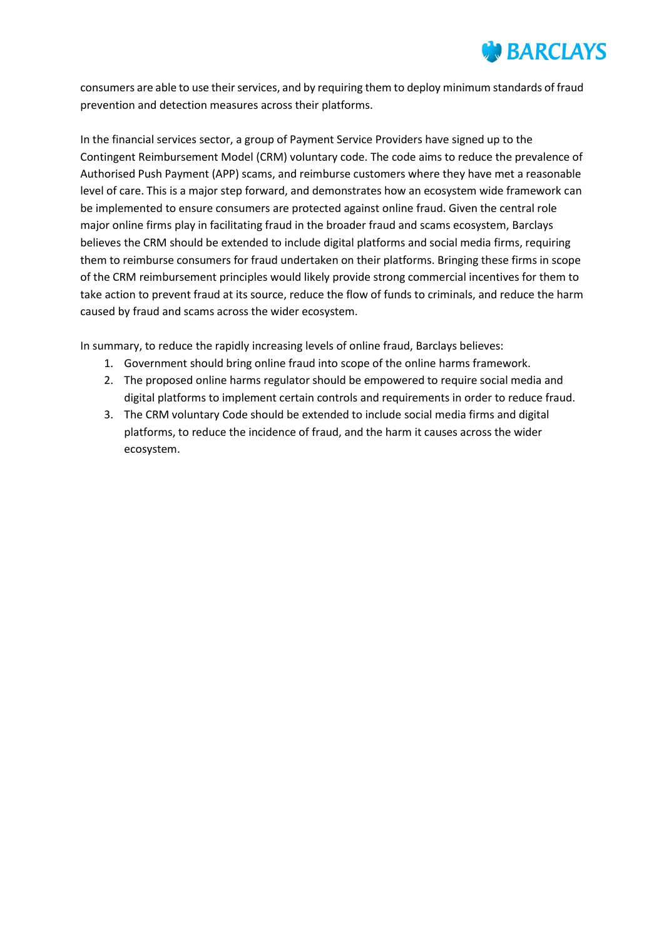

consumers are able to use their services, and by requiring them to deploy minimum standards of fraud prevention and detection measures across their platforms.

In the financial services sector, a group of Payment Service Providers have signed up to the Contingent Reimbursement Model (CRM) voluntary code. The code aims to reduce the prevalence of Authorised Push Payment (APP) scams, and reimburse customers where they have met a reasonable level of care. This is a major step forward, and demonstrates how an ecosystem wide framework can be implemented to ensure consumers are protected against online fraud. Given the central role major online firms play in facilitating fraud in the broader fraud and scams ecosystem, Barclays believes the CRM should be extended to include digital platforms and social media firms, requiring them to reimburse consumers for fraud undertaken on their platforms. Bringing these firms in scope of the CRM reimbursement principles would likely provide strong commercial incentives for them to take action to prevent fraud at its source, reduce the flow of funds to criminals, and reduce the harm caused by fraud and scams across the wider ecosystem.

In summary, to reduce the rapidly increasing levels of online fraud, Barclays believes:

- 1. Government should bring online fraud into scope of the online harms framework.
- 2. The proposed online harms regulator should be empowered to require social media and digital platforms to implement certain controls and requirements in order to reduce fraud.
- 3. The CRM voluntary Code should be extended to include social media firms and digital platforms, to reduce the incidence of fraud, and the harm it causes across the wider ecosystem.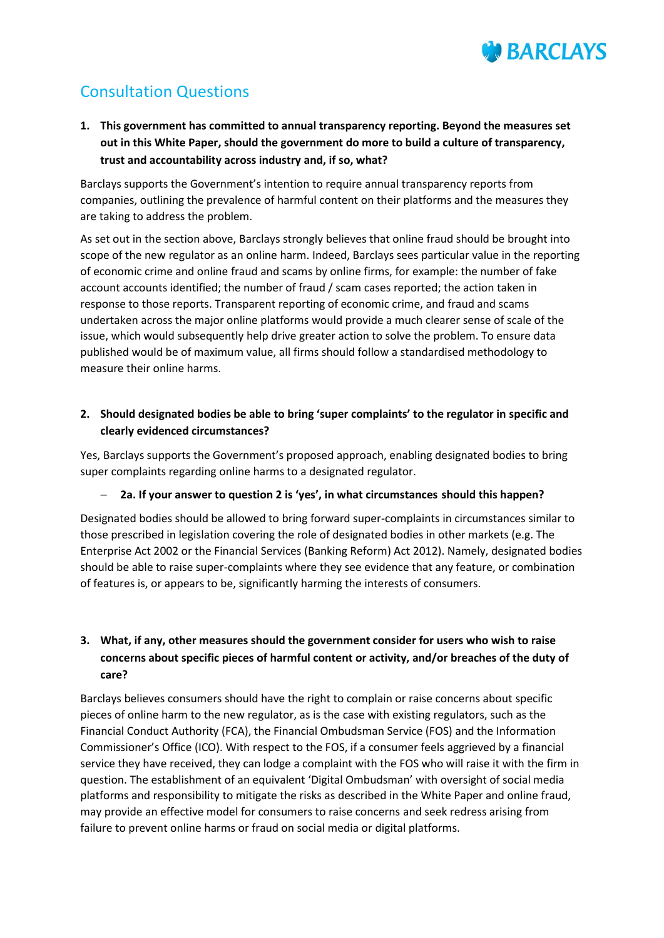

# Consultation Questions

**1. This government has committed to annual transparency reporting. Beyond the measures set out in this White Paper, should the government do more to build a culture of transparency, trust and accountability across industry and, if so, what?**

Barclays supports the Government's intention to require annual transparency reports from companies, outlining the prevalence of harmful content on their platforms and the measures they are taking to address the problem.

As set out in the section above, Barclays strongly believes that online fraud should be brought into scope of the new regulator as an online harm. Indeed, Barclays sees particular value in the reporting of economic crime and online fraud and scams by online firms, for example: the number of fake account accounts identified; the number of fraud / scam cases reported; the action taken in response to those reports. Transparent reporting of economic crime, and fraud and scams undertaken across the major online platforms would provide a much clearer sense of scale of the issue, which would subsequently help drive greater action to solve the problem. To ensure data published would be of maximum value, all firms should follow a standardised methodology to measure their online harms.

# **2. Should designated bodies be able to bring 'super complaints' to the regulator in specific and clearly evidenced circumstances?**

Yes, Barclays supports the Government's proposed approach, enabling designated bodies to bring super complaints regarding online harms to a designated regulator.

#### **2a. If your answer to question 2 is 'yes', in what circumstances should this happen?**

Designated bodies should be allowed to bring forward super-complaints in circumstances similar to those prescribed in legislation covering the role of designated bodies in other markets (e.g. The Enterprise Act 2002 or the Financial Services (Banking Reform) Act 2012). Namely, designated bodies should be able to raise super-complaints where they see evidence that any feature, or combination of features is, or appears to be, significantly harming the interests of consumers.

# **3. What, if any, other measures should the government consider for users who wish to raise concerns about specific pieces of harmful content or activity, and/or breaches of the duty of care?**

Barclays believes consumers should have the right to complain or raise concerns about specific pieces of online harm to the new regulator, as is the case with existing regulators, such as the Financial Conduct Authority (FCA), the Financial Ombudsman Service (FOS) and the Information Commissioner's Office (ICO). With respect to the FOS, if a consumer feels aggrieved by a financial service they have received, they can lodge a complaint with the FOS who will raise it with the firm in question. The establishment of an equivalent 'Digital Ombudsman' with oversight of social media platforms and responsibility to mitigate the risks as described in the White Paper and online fraud, may provide an effective model for consumers to raise concerns and seek redress arising from failure to prevent online harms or fraud on social media or digital platforms.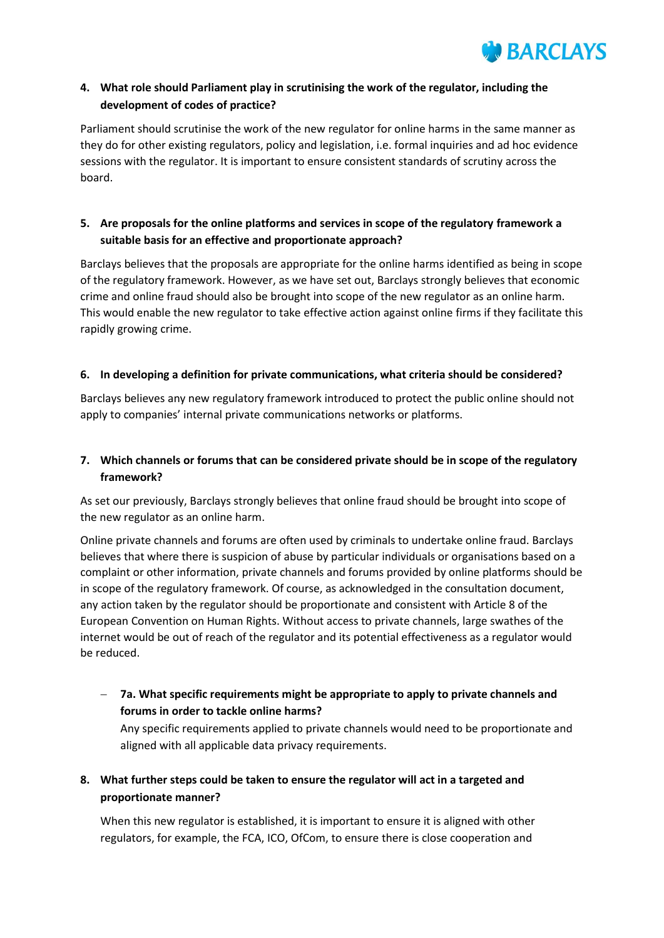

# **4. What role should Parliament play in scrutinising the work of the regulator, including the development of codes of practice?**

Parliament should scrutinise the work of the new regulator for online harms in the same manner as they do for other existing regulators, policy and legislation, i.e. formal inquiries and ad hoc evidence sessions with the regulator. It is important to ensure consistent standards of scrutiny across the board.

# **5. Are proposals for the online platforms and services in scope of the regulatory framework a suitable basis for an effective and proportionate approach?**

Barclays believes that the proposals are appropriate for the online harms identified as being in scope of the regulatory framework. However, as we have set out, Barclays strongly believes that economic crime and online fraud should also be brought into scope of the new regulator as an online harm. This would enable the new regulator to take effective action against online firms if they facilitate this rapidly growing crime.

#### **6. In developing a definition for private communications, what criteria should be considered?**

Barclays believes any new regulatory framework introduced to protect the public online should not apply to companies' internal private communications networks or platforms.

# **7. Which channels or forums that can be considered private should be in scope of the regulatory framework?**

As set our previously, Barclays strongly believes that online fraud should be brought into scope of the new regulator as an online harm.

Online private channels and forums are often used by criminals to undertake online fraud. Barclays believes that where there is suspicion of abuse by particular individuals or organisations based on a complaint or other information, private channels and forums provided by online platforms should be in scope of the regulatory framework. Of course, as acknowledged in the consultation document, any action taken by the regulator should be proportionate and consistent with Article 8 of the European Convention on Human Rights. Without access to private channels, large swathes of the internet would be out of reach of the regulator and its potential effectiveness as a regulator would be reduced.

 **7a. What specific requirements might be appropriate to apply to private channels and forums in order to tackle online harms?**

Any specific requirements applied to private channels would need to be proportionate and aligned with all applicable data privacy requirements.

**8. What further steps could be taken to ensure the regulator will act in a targeted and proportionate manner?**

When this new regulator is established, it is important to ensure it is aligned with other regulators, for example, the FCA, ICO, OfCom, to ensure there is close cooperation and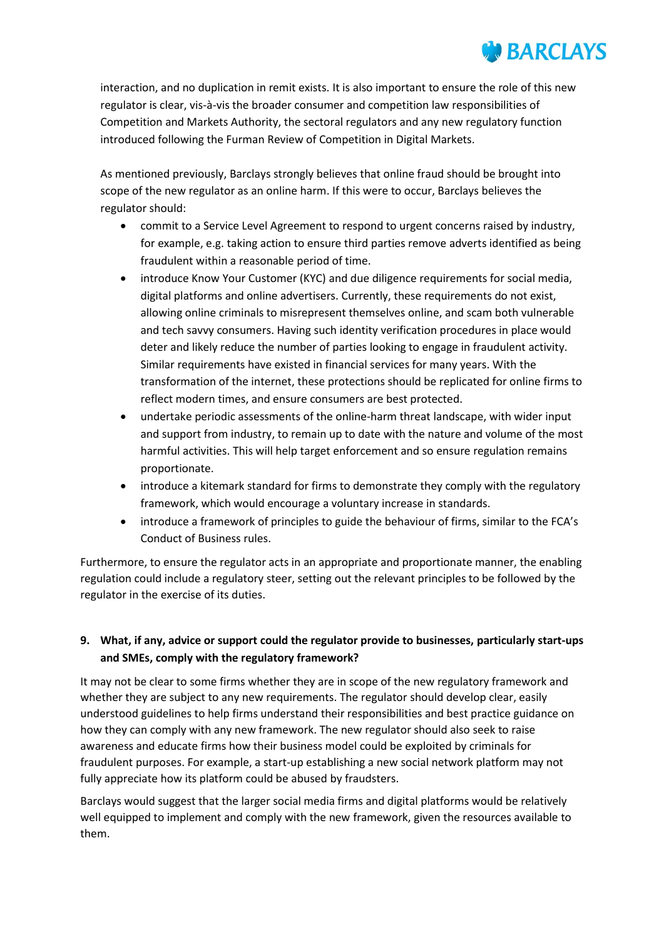# **BARCLAYS**

interaction, and no duplication in remit exists. It is also important to ensure the role of this new regulator is clear, vis-à-vis the broader consumer and competition law responsibilities of Competition and Markets Authority, the sectoral regulators and any new regulatory function introduced following the Furman Review of Competition in Digital Markets.

As mentioned previously, Barclays strongly believes that online fraud should be brought into scope of the new regulator as an online harm. If this were to occur, Barclays believes the regulator should:

- commit to a Service Level Agreement to respond to urgent concerns raised by industry, for example, e.g. taking action to ensure third parties remove adverts identified as being fraudulent within a reasonable period of time.
- introduce Know Your Customer (KYC) and due diligence requirements for social media, digital platforms and online advertisers. Currently, these requirements do not exist, allowing online criminals to misrepresent themselves online, and scam both vulnerable and tech savvy consumers. Having such identity verification procedures in place would deter and likely reduce the number of parties looking to engage in fraudulent activity. Similar requirements have existed in financial services for many years. With the transformation of the internet, these protections should be replicated for online firms to reflect modern times, and ensure consumers are best protected.
- undertake periodic assessments of the online-harm threat landscape, with wider input and support from industry, to remain up to date with the nature and volume of the most harmful activities. This will help target enforcement and so ensure regulation remains proportionate.
- introduce a kitemark standard for firms to demonstrate they comply with the regulatory framework, which would encourage a voluntary increase in standards.
- introduce a framework of principles to guide the behaviour of firms, similar to the FCA's Conduct of Business rules.

Furthermore, to ensure the regulator acts in an appropriate and proportionate manner, the enabling regulation could include a regulatory steer, setting out the relevant principles to be followed by the regulator in the exercise of its duties.

# **9. What, if any, advice or support could the regulator provide to businesses, particularly start-ups and SMEs, comply with the regulatory framework?**

It may not be clear to some firms whether they are in scope of the new regulatory framework and whether they are subject to any new requirements. The regulator should develop clear, easily understood guidelines to help firms understand their responsibilities and best practice guidance on how they can comply with any new framework. The new regulator should also seek to raise awareness and educate firms how their business model could be exploited by criminals for fraudulent purposes. For example, a start-up establishing a new social network platform may not fully appreciate how its platform could be abused by fraudsters.

Barclays would suggest that the larger social media firms and digital platforms would be relatively well equipped to implement and comply with the new framework, given the resources available to them.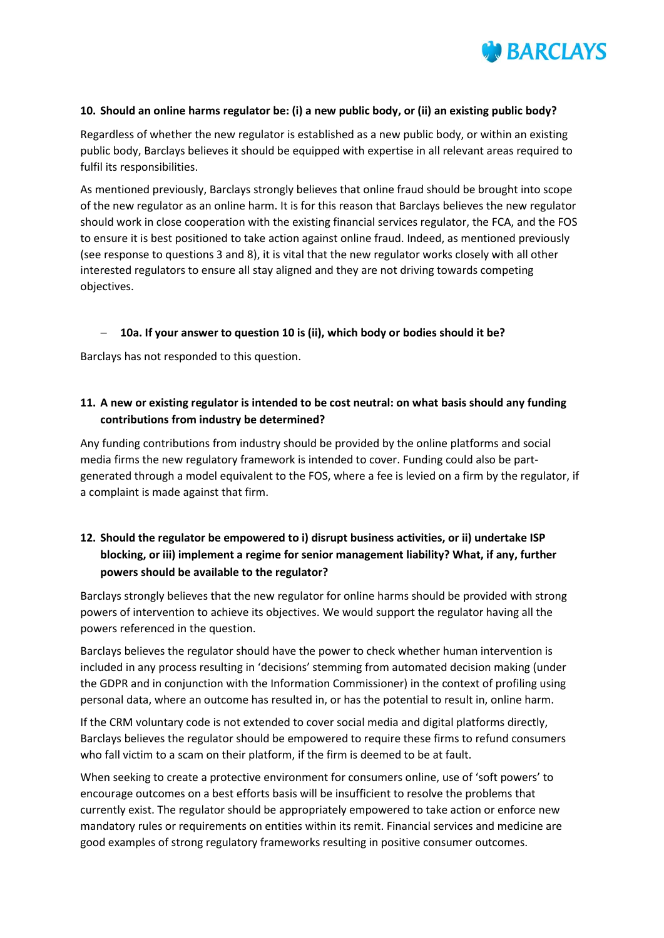

#### **10. Should an online harms regulator be: (i) a new public body, or (ii) an existing public body?**

Regardless of whether the new regulator is established as a new public body, or within an existing public body, Barclays believes it should be equipped with expertise in all relevant areas required to fulfil its responsibilities.

As mentioned previously, Barclays strongly believes that online fraud should be brought into scope of the new regulator as an online harm. It is for this reason that Barclays believes the new regulator should work in close cooperation with the existing financial services regulator, the FCA, and the FOS to ensure it is best positioned to take action against online fraud. Indeed, as mentioned previously (see response to questions 3 and 8), it is vital that the new regulator works closely with all other interested regulators to ensure all stay aligned and they are not driving towards competing objectives.

#### **10a. If your answer to question 10 is (ii), which body or bodies should it be?**

Barclays has not responded to this question.

#### **11. A new or existing regulator is intended to be cost neutral: on what basis should any funding contributions from industry be determined?**

Any funding contributions from industry should be provided by the online platforms and social media firms the new regulatory framework is intended to cover. Funding could also be partgenerated through a model equivalent to the FOS, where a fee is levied on a firm by the regulator, if a complaint is made against that firm.

# **12. Should the regulator be empowered to i) disrupt business activities, or ii) undertake ISP blocking, or iii) implement a regime for senior management liability? What, if any, further powers should be available to the regulator?**

Barclays strongly believes that the new regulator for online harms should be provided with strong powers of intervention to achieve its objectives. We would support the regulator having all the powers referenced in the question.

Barclays believes the regulator should have the power to check whether human intervention is included in any process resulting in 'decisions' stemming from automated decision making (under the GDPR and in conjunction with the Information Commissioner) in the context of profiling using personal data, where an outcome has resulted in, or has the potential to result in, online harm.

If the CRM voluntary code is not extended to cover social media and digital platforms directly, Barclays believes the regulator should be empowered to require these firms to refund consumers who fall victim to a scam on their platform, if the firm is deemed to be at fault.

When seeking to create a protective environment for consumers online, use of 'soft powers' to encourage outcomes on a best efforts basis will be insufficient to resolve the problems that currently exist. The regulator should be appropriately empowered to take action or enforce new mandatory rules or requirements on entities within its remit. Financial services and medicine are good examples of strong regulatory frameworks resulting in positive consumer outcomes.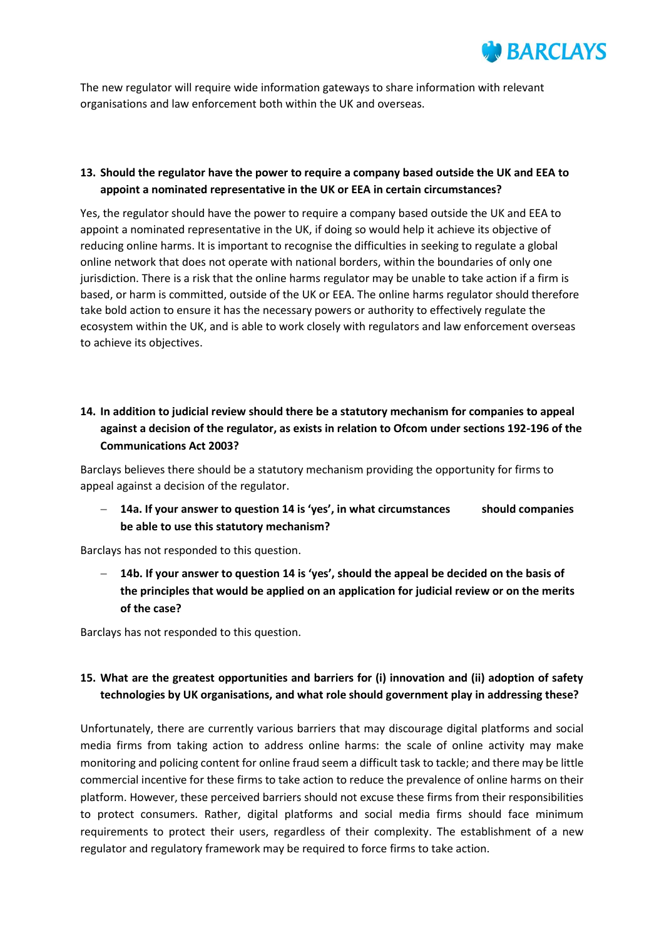

The new regulator will require wide information gateways to share information with relevant organisations and law enforcement both within the UK and overseas.

# **13. Should the regulator have the power to require a company based outside the UK and EEA to appoint a nominated representative in the UK or EEA in certain circumstances?**

Yes, the regulator should have the power to require a company based outside the UK and EEA to appoint a nominated representative in the UK, if doing so would help it achieve its objective of reducing online harms. It is important to recognise the difficulties in seeking to regulate a global online network that does not operate with national borders, within the boundaries of only one jurisdiction. There is a risk that the online harms regulator may be unable to take action if a firm is based, or harm is committed, outside of the UK or EEA. The online harms regulator should therefore take bold action to ensure it has the necessary powers or authority to effectively regulate the ecosystem within the UK, and is able to work closely with regulators and law enforcement overseas to achieve its objectives.

# **14. In addition to judicial review should there be a statutory mechanism for companies to appeal against a decision of the regulator, as exists in relation to Ofcom under sections 192-196 of the Communications Act 2003?**

Barclays believes there should be a statutory mechanism providing the opportunity for firms to appeal against a decision of the regulator.

 **14a. If your answer to question 14 is 'yes', in what circumstances should companies be able to use this statutory mechanism?**

Barclays has not responded to this question.

 **14b. If your answer to question 14 is 'yes', should the appeal be decided on the basis of the principles that would be applied on an application for judicial review or on the merits of the case?**

Barclays has not responded to this question.

# **15. What are the greatest opportunities and barriers for (i) innovation and (ii) adoption of safety technologies by UK organisations, and what role should government play in addressing these?**

Unfortunately, there are currently various barriers that may discourage digital platforms and social media firms from taking action to address online harms: the scale of online activity may make monitoring and policing content for online fraud seem a difficult task to tackle; and there may be little commercial incentive for these firms to take action to reduce the prevalence of online harms on their platform. However, these perceived barriers should not excuse these firms from their responsibilities to protect consumers. Rather, digital platforms and social media firms should face minimum requirements to protect their users, regardless of their complexity. The establishment of a new regulator and regulatory framework may be required to force firms to take action.